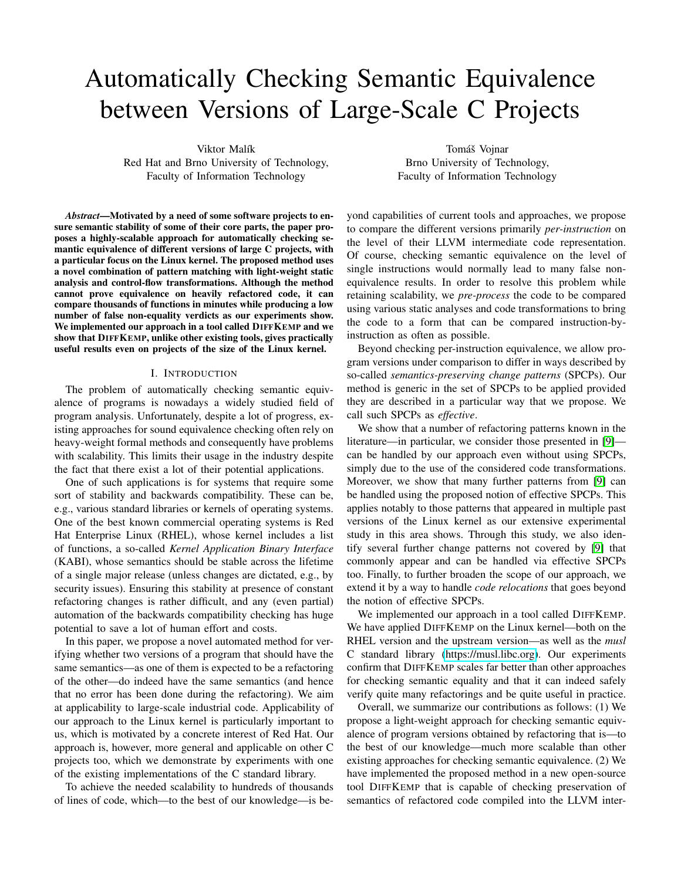# Automatically Checking Semantic Equivalence between Versions of Large-Scale C Projects

Viktor Malík Red Hat and Brno University of Technology, Faculty of Information Technology

*Abstract*—Motivated by a need of some software projects to ensure semantic stability of some of their core parts, the paper proposes a highly-scalable approach for automatically checking semantic equivalence of different versions of large C projects, with a particular focus on the Linux kernel. The proposed method uses a novel combination of pattern matching with light-weight static analysis and control-flow transformations. Although the method cannot prove equivalence on heavily refactored code, it can compare thousands of functions in minutes while producing a low number of false non-equality verdicts as our experiments show. We implemented our approach in a tool called DIFFKEMP and we show that DIFFKEMP, unlike other existing tools, gives practically useful results even on projects of the size of the Linux kernel.

## I. INTRODUCTION

<span id="page-0-0"></span>The problem of automatically checking semantic equivalence of programs is nowadays a widely studied field of program analysis. Unfortunately, despite a lot of progress, existing approaches for sound equivalence checking often rely on heavy-weight formal methods and consequently have problems with scalability. This limits their usage in the industry despite the fact that there exist a lot of their potential applications.

One of such applications is for systems that require some sort of stability and backwards compatibility. These can be, e.g., various standard libraries or kernels of operating systems. One of the best known commercial operating systems is Red Hat Enterprise Linux (RHEL), whose kernel includes a list of functions, a so-called *Kernel Application Binary Interface* (KABI), whose semantics should be stable across the lifetime of a single major release (unless changes are dictated, e.g., by security issues). Ensuring this stability at presence of constant refactoring changes is rather difficult, and any (even partial) automation of the backwards compatibility checking has huge potential to save a lot of human effort and costs.

In this paper, we propose a novel automated method for verifying whether two versions of a program that should have the same semantics—as one of them is expected to be a refactoring of the other—do indeed have the same semantics (and hence that no error has been done during the refactoring). We aim at applicability to large-scale industrial code. Applicability of our approach to the Linux kernel is particularly important to us, which is motivated by a concrete interest of Red Hat. Our approach is, however, more general and applicable on other C projects too, which we demonstrate by experiments with one of the existing implementations of the C standard library.

To achieve the needed scalability to hundreds of thousands of lines of code, which—to the best of our knowledge—is be-

Tomáš Vojnar Brno University of Technology, Faculty of Information Technology

yond capabilities of current tools and approaches, we propose to compare the different versions primarily *per-instruction* on the level of their LLVM intermediate code representation. Of course, checking semantic equivalence on the level of single instructions would normally lead to many false nonequivalence results. In order to resolve this problem while retaining scalability, we *pre-process* the code to be compared using various static analyses and code transformations to bring the code to a form that can be compared instruction-byinstruction as often as possible.

Beyond checking per-instruction equivalence, we allow program versions under comparison to differ in ways described by so-called *semantics-preserving change patterns* (SPCPs). Our method is generic in the set of SPCPs to be applied provided they are described in a particular way that we propose. We call such SPCPs as *effective*.

We show that a number of refactoring patterns known in the literature—in particular, we consider those presented in [\[9\]](#page-10-0) can be handled by our approach even without using SPCPs, simply due to the use of the considered code transformations. Moreover, we show that many further patterns from [\[9\]](#page-10-0) can be handled using the proposed notion of effective SPCPs. This applies notably to those patterns that appeared in multiple past versions of the Linux kernel as our extensive experimental study in this area shows. Through this study, we also identify several further change patterns not covered by [\[9\]](#page-10-0) that commonly appear and can be handled via effective SPCPs too. Finally, to further broaden the scope of our approach, we extend it by a way to handle *code relocations* that goes beyond the notion of effective SPCPs.

We implemented our approach in a tool called DIFFKEMP. We have applied DIFFKEMP on the Linux kernel—both on the RHEL version and the upstream version—as well as the *musl* C standard library [\(https://musl.libc.org\)](https://musl.libc.org). Our experiments confirm that DIFFKEMP scales far better than other approaches for checking semantic equality and that it can indeed safely verify quite many refactorings and be quite useful in practice.

Overall, we summarize our contributions as follows: (1) We propose a light-weight approach for checking semantic equivalence of program versions obtained by refactoring that is—to the best of our knowledge—much more scalable than other existing approaches for checking semantic equivalence. (2) We have implemented the proposed method in a new open-source tool DIFFKEMP that is capable of checking preservation of semantics of refactored code compiled into the LLVM inter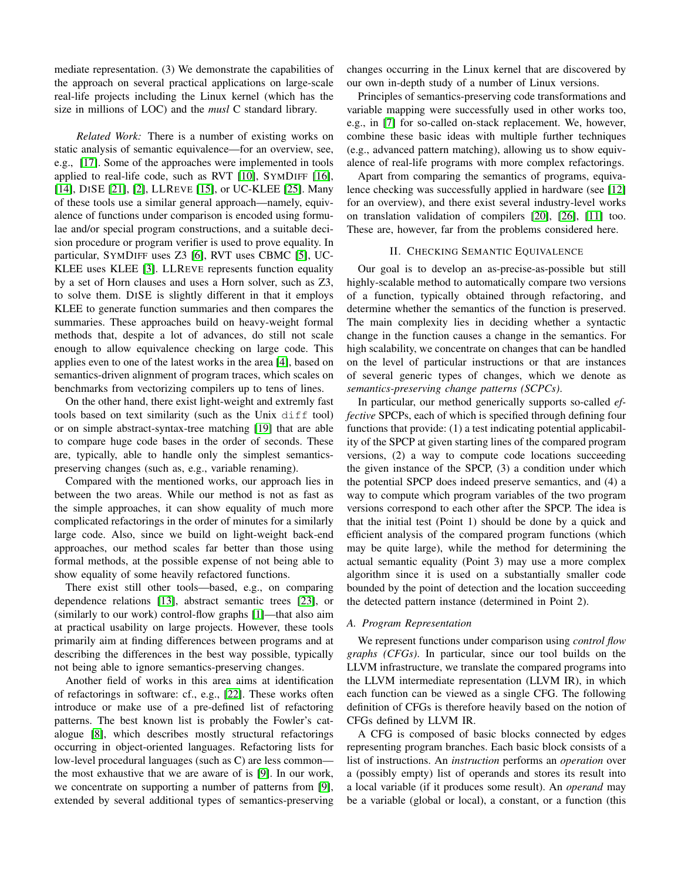mediate representation. (3) We demonstrate the capabilities of the approach on several practical applications on large-scale real-life projects including the Linux kernel (which has the size in millions of LOC) and the *musl* C standard library.

*Related Work:* There is a number of existing works on static analysis of semantic equivalence—for an overview, see, e.g., [\[17\]](#page-10-1). Some of the approaches were implemented in tools applied to real-life code, such as RVT [\[10\]](#page-10-2), SYMDIFF [\[16\]](#page-10-3), [\[14\]](#page-10-4), DISE [\[21\]](#page-10-5), [\[2\]](#page-10-6), LLREVE [\[15\]](#page-10-7), or UC-KLEE [\[25\]](#page-10-8). Many of these tools use a similar general approach—namely, equivalence of functions under comparison is encoded using formulae and/or special program constructions, and a suitable decision procedure or program verifier is used to prove equality. In particular, SYMDIFF uses Z3 [\[6\]](#page-10-9), RVT uses CBMC [\[5\]](#page-10-10), UC-KLEE uses KLEE [\[3\]](#page-10-11). LLREVE represents function equality by a set of Horn clauses and uses a Horn solver, such as Z3, to solve them. DISE is slightly different in that it employs KLEE to generate function summaries and then compares the summaries. These approaches build on heavy-weight formal methods that, despite a lot of advances, do still not scale enough to allow equivalence checking on large code. This applies even to one of the latest works in the area [\[4\]](#page-10-12), based on semantics-driven alignment of program traces, which scales on benchmarks from vectorizing compilers up to tens of lines.

On the other hand, there exist light-weight and extremly fast tools based on text similarity (such as the Unix  $diff$  tool) or on simple abstract-syntax-tree matching [\[19\]](#page-10-13) that are able to compare huge code bases in the order of seconds. These are, typically, able to handle only the simplest semanticspreserving changes (such as, e.g., variable renaming).

Compared with the mentioned works, our approach lies in between the two areas. While our method is not as fast as the simple approaches, it can show equality of much more complicated refactorings in the order of minutes for a similarly large code. Also, since we build on light-weight back-end approaches, our method scales far better than those using formal methods, at the possible expense of not being able to show equality of some heavily refactored functions.

There exist still other tools—based, e.g., on comparing dependence relations [\[13\]](#page-10-14), abstract semantic trees [\[23\]](#page-10-15), or (similarly to our work) control-flow graphs [\[1\]](#page-10-16)—that also aim at practical usability on large projects. However, these tools primarily aim at finding differences between programs and at describing the differences in the best way possible, typically not being able to ignore semantics-preserving changes.

Another field of works in this area aims at identification of refactorings in software: cf., e.g., [\[22\]](#page-10-17). These works often introduce or make use of a pre-defined list of refactoring patterns. The best known list is probably the Fowler's catalogue [\[8\]](#page-10-18), which describes mostly structural refactorings occurring in object-oriented languages. Refactoring lists for low-level procedural languages (such as C) are less commonthe most exhaustive that we are aware of is [\[9\]](#page-10-0). In our work, we concentrate on supporting a number of patterns from [\[9\]](#page-10-0), extended by several additional types of semantics-preserving changes occurring in the Linux kernel that are discovered by our own in-depth study of a number of Linux versions.

Principles of semantics-preserving code transformations and variable mapping were successfully used in other works too, e.g., in [\[7\]](#page-10-19) for so-called on-stack replacement. We, however, combine these basic ideas with multiple further techniques (e.g., advanced pattern matching), allowing us to show equivalence of real-life programs with more complex refactorings.

Apart from comparing the semantics of programs, equivalence checking was successfully applied in hardware (see [\[12\]](#page-10-20) for an overview), and there exist several industry-level works on translation validation of compilers [\[20\]](#page-10-21), [\[26\]](#page-10-22), [\[11\]](#page-10-23) too. These are, however, far from the problems considered here.

## II. CHECKING SEMANTIC EQUIVALENCE

<span id="page-1-0"></span>Our goal is to develop an as-precise-as-possible but still highly-scalable method to automatically compare two versions of a function, typically obtained through refactoring, and determine whether the semantics of the function is preserved. The main complexity lies in deciding whether a syntactic change in the function causes a change in the semantics. For high scalability, we concentrate on changes that can be handled on the level of particular instructions or that are instances of several generic types of changes, which we denote as *semantics-preserving change patterns (SCPCs)*.

In particular, our method generically supports so-called *effective* SPCPs, each of which is specified through defining four functions that provide: (1) a test indicating potential applicability of the SPCP at given starting lines of the compared program versions, (2) a way to compute code locations succeeding the given instance of the SPCP, (3) a condition under which the potential SPCP does indeed preserve semantics, and (4) a way to compute which program variables of the two program versions correspond to each other after the SPCP. The idea is that the initial test (Point 1) should be done by a quick and efficient analysis of the compared program functions (which may be quite large), while the method for determining the actual semantic equality (Point 3) may use a more complex algorithm since it is used on a substantially smaller code bounded by the point of detection and the location succeeding the detected pattern instance (determined in Point 2).

## <span id="page-1-1"></span>*A. Program Representation*

We represent functions under comparison using *control flow graphs (CFGs)*. In particular, since our tool builds on the LLVM infrastructure, we translate the compared programs into the LLVM intermediate representation (LLVM IR), in which each function can be viewed as a single CFG. The following definition of CFGs is therefore heavily based on the notion of CFGs defined by LLVM IR.

A CFG is composed of basic blocks connected by edges representing program branches. Each basic block consists of a list of instructions. An *instruction* performs an *operation* over a (possibly empty) list of operands and stores its result into a local variable (if it produces some result). An *operand* may be a variable (global or local), a constant, or a function (this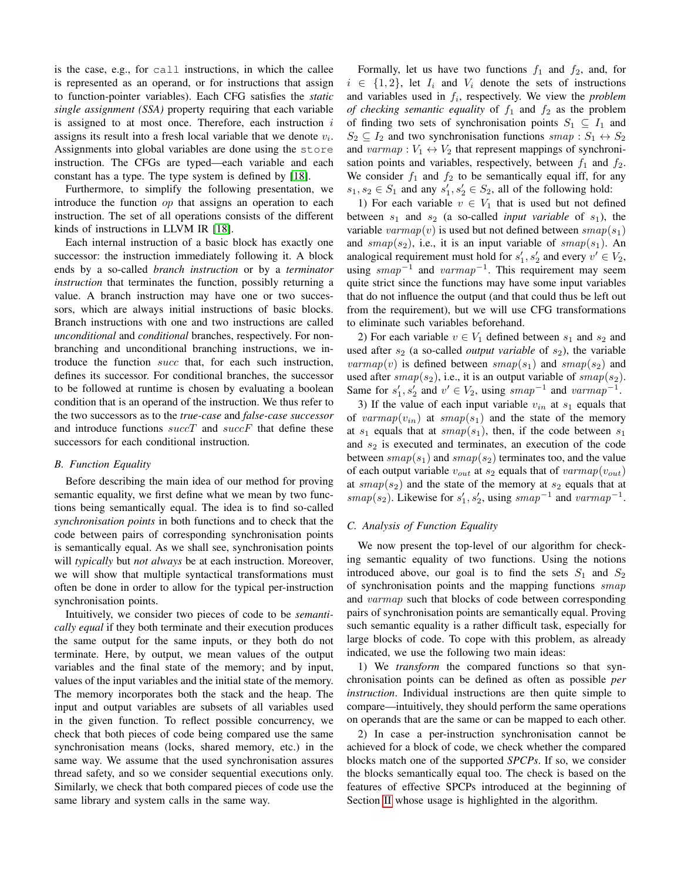is the case, e.g., for call instructions, in which the callee is represented as an operand, or for instructions that assign to function-pointer variables). Each CFG satisfies the *static single assignment (SSA)* property requiring that each variable is assigned to at most once. Therefore, each instruction  $i$ assigns its result into a fresh local variable that we denote  $v_i$ . Assignments into global variables are done using the store instruction. The CFGs are typed—each variable and each constant has a type. The type system is defined by [\[18\]](#page-10-24).

Furthermore, to simplify the following presentation, we introduce the function *op* that assigns an operation to each instruction. The set of all operations consists of the different kinds of instructions in LLVM IR [\[18\]](#page-10-24).

Each internal instruction of a basic block has exactly one successor: the instruction immediately following it. A block ends by a so-called *branch instruction* or by a *terminator instruction* that terminates the function, possibly returning a value. A branch instruction may have one or two successors, which are always initial instructions of basic blocks. Branch instructions with one and two instructions are called *unconditional* and *conditional* branches, respectively. For nonbranching and unconditional branching instructions, we introduce the function succ that, for each such instruction, defines its successor. For conditional branches, the successor to be followed at runtime is chosen by evaluating a boolean condition that is an operand of the instruction. We thus refer to the two successors as to the *true-case* and *false-case successor* and introduce functions  $succT$  and  $succF$  that define these successors for each conditional instruction.

#### *B. Function Equality*

Before describing the main idea of our method for proving semantic equality, we first define what we mean by two functions being semantically equal. The idea is to find so-called *synchronisation points* in both functions and to check that the code between pairs of corresponding synchronisation points is semantically equal. As we shall see, synchronisation points will *typically* but *not always* be at each instruction. Moreover, we will show that multiple syntactical transformations must often be done in order to allow for the typical per-instruction synchronisation points.

Intuitively, we consider two pieces of code to be *semantically equal* if they both terminate and their execution produces the same output for the same inputs, or they both do not terminate. Here, by output, we mean values of the output variables and the final state of the memory; and by input, values of the input variables and the initial state of the memory. The memory incorporates both the stack and the heap. The input and output variables are subsets of all variables used in the given function. To reflect possible concurrency, we check that both pieces of code being compared use the same synchronisation means (locks, shared memory, etc.) in the same way. We assume that the used synchronisation assures thread safety, and so we consider sequential executions only. Similarly, we check that both compared pieces of code use the same library and system calls in the same way.

Formally, let us have two functions  $f_1$  and  $f_2$ , and, for  $i \in \{1,2\}$ , let  $I_i$  and  $V_i$  denote the sets of instructions and variables used in  $f_i$ , respectively. We view the *problem of checking semantic equality* of  $f_1$  and  $f_2$  as the problem of finding two sets of synchronisation points  $S_1 \subseteq I_1$  and  $S_2 \subseteq I_2$  and two synchronisation functions smap:  $S_1 \leftrightarrow S_2$ and  $varmap : V_1 \leftrightarrow V_2$  that represent mappings of synchronisation points and variables, respectively, between  $f_1$  and  $f_2$ . We consider  $f_1$  and  $f_2$  to be semantically equal iff, for any  $s_1, s_2 \in S_1$  and any  $s'_1, s'_2 \in S_2$ , all of the following hold:

1) For each variable  $v \in V_1$  that is used but not defined between  $s_1$  and  $s_2$  (a so-called *input variable* of  $s_1$ ), the variable varmap(v) is used but not defined between  $smap(s_1)$ and  $smap(s_2)$ , i.e., it is an input variable of  $smap(s_1)$ . An analogical requirement must hold for  $s'_1$ ,  $s'_2$  and every  $v' \in V_2$ , using  $smap^{-1}$  and  $varmap^{-1}$ . This requirement may seem quite strict since the functions may have some input variables that do not influence the output (and that could thus be left out from the requirement), but we will use CFG transformations to eliminate such variables beforehand.

2) For each variable  $v \in V_1$  defined between  $s_1$  and  $s_2$  and used after  $s_2$  (a so-called *output variable* of  $s_2$ ), the variable  $varmap(v)$  is defined between  $smap(s<sub>1</sub>)$  and  $smap(s<sub>2</sub>)$  and used after  $smap(s_2)$ , i.e., it is an output variable of  $smap(s_2)$ . Same for  $s'_1, s'_2$  and  $v' \in V_2$ , using  $smap^{-1}$  and  $varmap^{-1}$ .

3) If the value of each input variable  $v_{in}$  at  $s_1$  equals that of varmap( $v_{in}$ ) at smap( $s_1$ ) and the state of the memory at  $s_1$  equals that at  $smap(s_1)$ , then, if the code between  $s_1$ and  $s_2$  is executed and terminates, an execution of the code between  $smap(s_1)$  and  $smap(s_2)$  terminates too, and the value of each output variable  $v_{out}$  at  $s_2$  equals that of  $v_{out}$ at  $smap(s_2)$  and the state of the memory at  $s_2$  equals that at  $smap(s_2)$ . Likewise for  $s'_1, s'_2$ , using  $smap^{-1}$  and  $varmap^{-1}$ .

## <span id="page-2-0"></span>*C. Analysis of Function Equality*

We now present the top-level of our algorithm for checking semantic equality of two functions. Using the notions introduced above, our goal is to find the sets  $S_1$  and  $S_2$ of synchronisation points and the mapping functions smap and varmap such that blocks of code between corresponding pairs of synchronisation points are semantically equal. Proving such semantic equality is a rather difficult task, especially for large blocks of code. To cope with this problem, as already indicated, we use the following two main ideas:

1) We *transform* the compared functions so that synchronisation points can be defined as often as possible *per instruction*. Individual instructions are then quite simple to compare—intuitively, they should perform the same operations on operands that are the same or can be mapped to each other.

2) In case a per-instruction synchronisation cannot be achieved for a block of code, we check whether the compared blocks match one of the supported *SPCPs*. If so, we consider the blocks semantically equal too. The check is based on the features of effective SPCPs introduced at the beginning of Section [II](#page-1-0) whose usage is highlighted in the algorithm.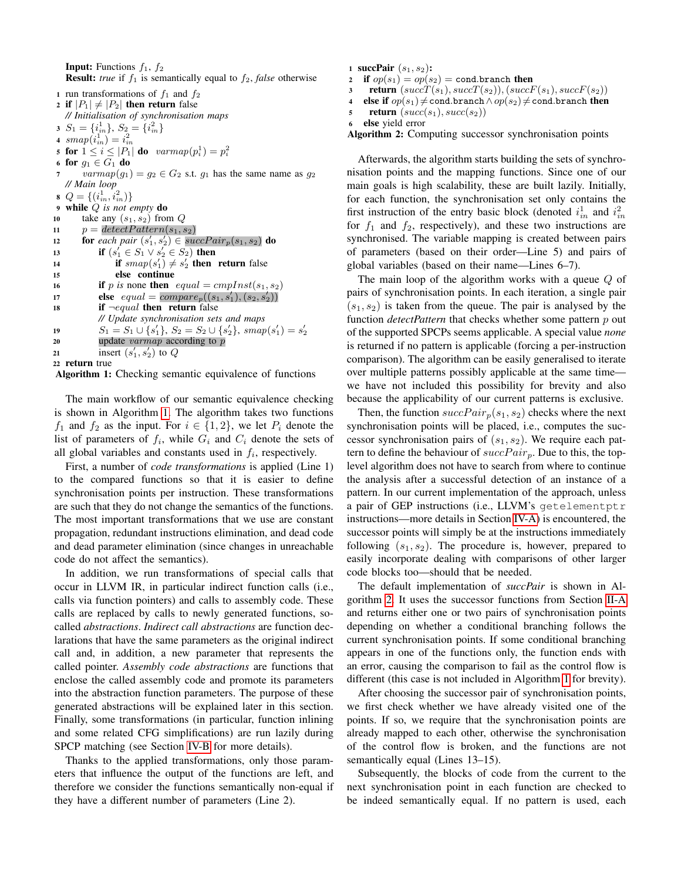**Input:** Functions  $f_1$ ,  $f_2$ **Result:** *true* if  $f_1$  is semantically equal to  $f_2$ , *false* otherwise 1 run transformations of  $f_1$  and  $f_2$ 2 if  $|P_1| \neq |P_2|$  then return false *// Initialisation of synchronisation maps* 3  $S_1 = \{i_m^1\}, S_2 = \{i_m^2\}$ 4  $\, smap(i^1_{in})=i^2_{in}$ 5 for  $1 \leq i \leq |P_1|$  do  $varmap(p_i^1) = p_i^2$ 6 for  $g_1 \in G_1$  do  $varmap(g_1) = g_2 \in G_2$  s.t.  $g_1$  has the same name as  $g_2$ *// Main loop* 8  $Q = \{(i_m^1, i_m^2)\}\$ <sup>9</sup> while Q *is not empty* do 10 take any  $(s_1, s_2)$  from  $Q$ 11  $p = \text{detectPattern}(s_1, s_2)$ 12 **for** each pair  $(s'_1, s'_2) \in succPair_p(s_1, s_2)$  do 13 **if**  $(s_1' \in S_1 \vee s_2' \in S_2)$  then 14 if  $smap(s'_1) \neq s'_2$  then return false <sup>15</sup> else continue 16 if p is none then  $equal = cmplnst(s_1, s_2)$ 17 **else**  $equal = compare_p((s_1, s'_1), (s_2, s'_2))$ 18 if  $\neg equal$  then return false *// Update synchronisation sets and maps* 19  $S_1 = S_1 \cup \{s_1'\}, S_2 = S_2 \cup \{s_2'\}, smap(s_1') = s_2'$ 20 update *varmap* according to p 21 insert  $(s'_1, s'_2)$  to Q <sup>22</sup> return true

<span id="page-3-0"></span>Algorithm 1: Checking semantic equivalence of functions

The main workflow of our semantic equivalence checking is shown in Algorithm [1.](#page-3-0) The algorithm takes two functions  $f_1$  and  $f_2$  as the input. For  $i \in \{1,2\}$ , we let  $P_i$  denote the list of parameters of  $f_i$ , while  $G_i$  and  $C_i$  denote the sets of all global variables and constants used in  $f_i$ , respectively.

First, a number of *code transformations* is applied (Line 1) to the compared functions so that it is easier to define synchronisation points per instruction. These transformations are such that they do not change the semantics of the functions. The most important transformations that we use are constant propagation, redundant instructions elimination, and dead code and dead parameter elimination (since changes in unreachable code do not affect the semantics).

In addition, we run transformations of special calls that occur in LLVM IR, in particular indirect function calls (i.e., calls via function pointers) and calls to assembly code. These calls are replaced by calls to newly generated functions, socalled *abstractions*. *Indirect call abstractions* are function declarations that have the same parameters as the original indirect call and, in addition, a new parameter that represents the called pointer. *Assembly code abstractions* are functions that enclose the called assembly code and promote its parameters into the abstraction function parameters. The purpose of these generated abstractions will be explained later in this section. Finally, some transformations (in particular, function inlining and some related CFG simplifications) are run lazily during SPCP matching (see Section [IV-B](#page-6-0) for more details).

Thanks to the applied transformations, only those parameters that influence the output of the functions are left, and therefore we consider the functions semantically non-equal if they have a different number of parameters (Line 2).

1 succPair  $(s_1, s_2)$ :

```
2 if op(s_1) = op(s_2) = cond.brand then
```

```
3 return (succT(s_1), succT(s_2)),(succF(s_1), succF(s_2))
```

```
4 else if op(s_1) \neq cond.branch ∧op(s_2) \neq cond.branch then
```

```
5 return (succ(s_1), succ(s_2))
```

```
6 else yield error
```
<span id="page-3-1"></span>Algorithm 2: Computing successor synchronisation points

Afterwards, the algorithm starts building the sets of synchronisation points and the mapping functions. Since one of our main goals is high scalability, these are built lazily. Initially, for each function, the synchronisation set only contains the first instruction of the entry basic block (denoted  $i_m^1$  and  $i_m^2$ ) for  $f_1$  and  $f_2$ , respectively), and these two instructions are synchronised. The variable mapping is created between pairs of parameters (based on their order—Line 5) and pairs of global variables (based on their name—Lines 6–7).

The main loop of the algorithm works with a queue Q of pairs of synchronisation points. In each iteration, a single pair  $(s_1, s_2)$  is taken from the queue. The pair is analysed by the function *detectPattern* that checks whether some pattern p out of the supported SPCPs seems applicable. A special value *none* is returned if no pattern is applicable (forcing a per-instruction comparison). The algorithm can be easily generalised to iterate over multiple patterns possibly applicable at the same time we have not included this possibility for brevity and also because the applicability of our current patterns is exclusive.

Then, the function  $succPair_p(s_1, s_2)$  checks where the next synchronisation points will be placed, i.e., computes the successor synchronisation pairs of  $(s_1, s_2)$ . We require each pattern to define the behaviour of  $succPair_p$ . Due to this, the toplevel algorithm does not have to search from where to continue the analysis after a successful detection of an instance of a pattern. In our current implementation of the approach, unless a pair of GEP instructions (i.e., LLVM's getelementptr instructions—more details in Section [IV-A\)](#page-5-0) is encountered, the successor points will simply be at the instructions immediately following  $(s_1, s_2)$ . The procedure is, however, prepared to easily incorporate dealing with comparisons of other larger code blocks too—should that be needed.

The default implementation of *succPair* is shown in Algorithm [2.](#page-3-1) It uses the successor functions from Section [II-A](#page-1-1) and returns either one or two pairs of synchronisation points depending on whether a conditional branching follows the current synchronisation points. If some conditional branching appears in one of the functions only, the function ends with an error, causing the comparison to fail as the control flow is different (this case is not included in Algorithm [1](#page-3-0) for brevity).

After choosing the successor pair of synchronisation points, we first check whether we have already visited one of the points. If so, we require that the synchronisation points are already mapped to each other, otherwise the synchronisation of the control flow is broken, and the functions are not semantically equal (Lines 13–15).

Subsequently, the blocks of code from the current to the next synchronisation point in each function are checked to be indeed semantically equal. If no pattern is used, each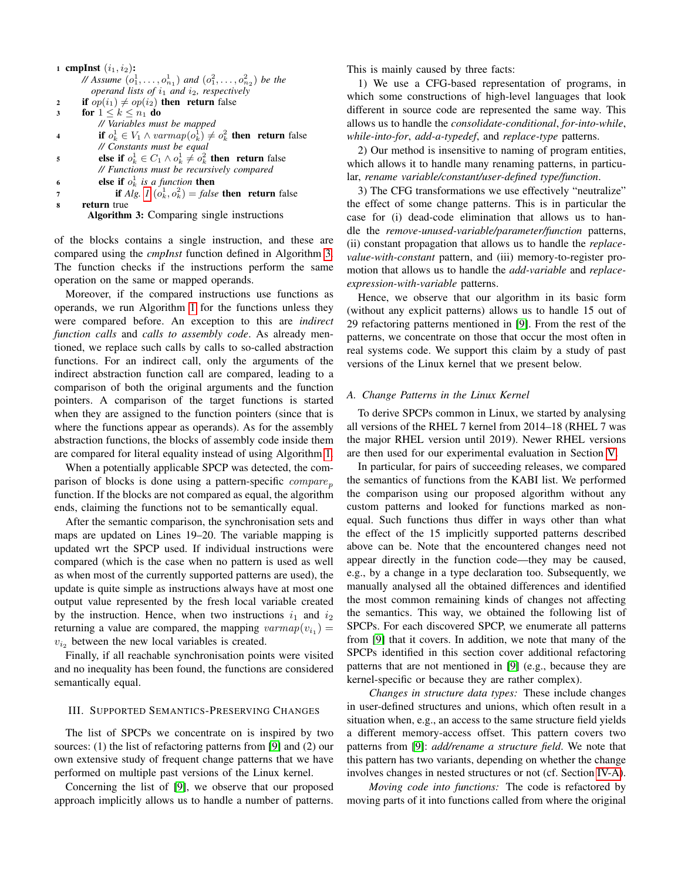|              | 1 cmpInst $(i_1, i_2)$ :                                             |
|--------------|----------------------------------------------------------------------|
|              | // Assume $(o_1^1, , o_{n_1}^1)$ and $(o_1^2, , o_{n_2}^2)$ be the   |
|              | operand lists of $i_1$ and $i_2$ , respectively                      |
| $\mathbf{2}$ | <b>if</b> $op(i_1) \neq op(i_2)$ then return false                   |
| 3            | for $1 \leq k \leq n_1$ do                                           |
|              | // Variables must be mapped                                          |
|              | if $o_k^1 \in V_1 \wedge varmap(o_k^1) \neq o_k^2$ then return false |
|              | // Constants must be equal                                           |
| 5            | else if $o_k^1 \in C_1 \wedge o_k^1 \neq o_k^2$ then return false    |
|              | // Functions must be recursively compared                            |
| 6            | else if $o_k^1$ is a function then                                   |
| 7            | <b>if</b> Alg. 1 $(o_k^1, o_k^2) = false$ then return false          |
| 8            | return true                                                          |
|              | <b>Algorithm 3:</b> Comparing single instructions                    |

<span id="page-4-0"></span>of the blocks contains a single instruction, and these are compared using the *cmpInst* function defined in Algorithm [3.](#page-4-0) The function checks if the instructions perform the same operation on the same or mapped operands.

Moreover, if the compared instructions use functions as operands, we run Algorithm [1](#page-3-0) for the functions unless they were compared before. An exception to this are *indirect function calls* and *calls to assembly code*. As already mentioned, we replace such calls by calls to so-called abstraction functions. For an indirect call, only the arguments of the indirect abstraction function call are compared, leading to a comparison of both the original arguments and the function pointers. A comparison of the target functions is started when they are assigned to the function pointers (since that is where the functions appear as operands). As for the assembly abstraction functions, the blocks of assembly code inside them are compared for literal equality instead of using Algorithm [1.](#page-3-0)

When a potentially applicable SPCP was detected, the comparison of blocks is done using a pattern-specific  $compare<sub>n</sub>$ function. If the blocks are not compared as equal, the algorithm ends, claiming the functions not to be semantically equal.

After the semantic comparison, the synchronisation sets and maps are updated on Lines 19–20. The variable mapping is updated wrt the SPCP used. If individual instructions were compared (which is the case when no pattern is used as well as when most of the currently supported patterns are used), the update is quite simple as instructions always have at most one output value represented by the fresh local variable created by the instruction. Hence, when two instructions  $i_1$  and  $i_2$ returning a value are compared, the mapping  $varmap(v_{i_1}) =$  $v_{i_2}$  between the new local variables is created.

Finally, if all reachable synchronisation points were visited and no inequality has been found, the functions are considered semantically equal.

#### III. SUPPORTED SEMANTICS-PRESERVING CHANGES

The list of SPCPs we concentrate on is inspired by two sources: (1) the list of refactoring patterns from [\[9\]](#page-10-0) and (2) our own extensive study of frequent change patterns that we have performed on multiple past versions of the Linux kernel.

Concerning the list of [\[9\]](#page-10-0), we observe that our proposed approach implicitly allows us to handle a number of patterns. This is mainly caused by three facts:

1) We use a CFG-based representation of programs, in which some constructions of high-level languages that look different in source code are represented the same way. This allows us to handle the *consolidate-conditional*, *for-into-while*, *while-into-for*, *add-a-typedef*, and *replace-type* patterns.

2) Our method is insensitive to naming of program entities, which allows it to handle many renaming patterns, in particular, *rename variable/constant/user-defined type/function*.

3) The CFG transformations we use effectively "neutralize" the effect of some change patterns. This is in particular the case for (i) dead-code elimination that allows us to handle the *remove-unused-variable/parameter/function* patterns, (ii) constant propagation that allows us to handle the *replacevalue-with-constant* pattern, and (iii) memory-to-register promotion that allows us to handle the *add-variable* and *replaceexpression-with-variable* patterns.

Hence, we observe that our algorithm in its basic form (without any explicit patterns) allows us to handle 15 out of 29 refactoring patterns mentioned in [\[9\]](#page-10-0). From the rest of the patterns, we concentrate on those that occur the most often in real systems code. We support this claim by a study of past versions of the Linux kernel that we present below.

#### <span id="page-4-1"></span>*A. Change Patterns in the Linux Kernel*

To derive SPCPs common in Linux, we started by analysing all versions of the RHEL 7 kernel from 2014–18 (RHEL 7 was the major RHEL version until 2019). Newer RHEL versions are then used for our experimental evaluation in Section [V.](#page-8-0)

In particular, for pairs of succeeding releases, we compared the semantics of functions from the KABI list. We performed the comparison using our proposed algorithm without any custom patterns and looked for functions marked as nonequal. Such functions thus differ in ways other than what the effect of the 15 implicitly supported patterns described above can be. Note that the encountered changes need not appear directly in the function code—they may be caused, e.g., by a change in a type declaration too. Subsequently, we manually analysed all the obtained differences and identified the most common remaining kinds of changes not affecting the semantics. This way, we obtained the following list of SPCPs. For each discovered SPCP, we enumerate all patterns from [\[9\]](#page-10-0) that it covers. In addition, we note that many of the SPCPs identified in this section cover additional refactoring patterns that are not mentioned in [\[9\]](#page-10-0) (e.g., because they are kernel-specific or because they are rather complex).

*Changes in structure data types:* These include changes in user-defined structures and unions, which often result in a situation when, e.g., an access to the same structure field yields a different memory-access offset. This pattern covers two patterns from [\[9\]](#page-10-0): *add/rename a structure field*. We note that this pattern has two variants, depending on whether the change involves changes in nested structures or not (cf. Section [IV-A\)](#page-5-0).

*Moving code into functions:* The code is refactored by moving parts of it into functions called from where the original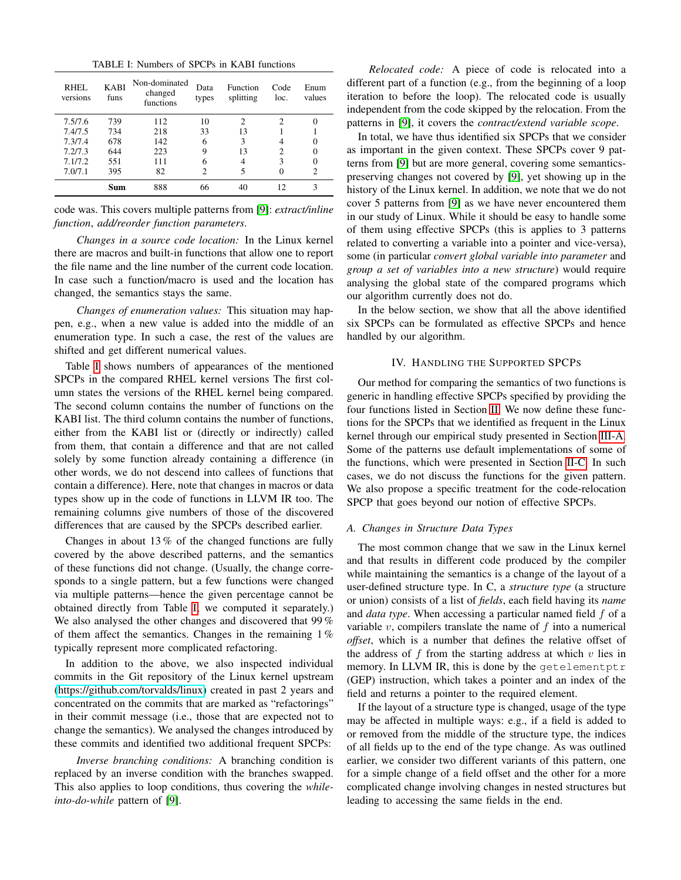TABLE I: Numbers of SPCPs in KABI functions

<span id="page-5-1"></span>

| RHEL<br>versions | <b>KABI</b><br>funs | Non-dominated<br>changed<br>functions | Data<br>types  | Function<br>splitting       | Code<br>loc. | Enum<br>values              |
|------------------|---------------------|---------------------------------------|----------------|-----------------------------|--------------|-----------------------------|
| 7.5/7.6          | 739                 | 112                                   | 10             | $\mathcal{D}_{\mathcal{L}}$ | 2            |                             |
| 7.4/7.5          | 734                 | 218                                   | 33             | 13                          |              |                             |
| 7.3/7.4          | 678                 | 142                                   | 6              | 3                           |              |                             |
| 7.2/7.3          | 644                 | 223                                   | 9              | 13                          | 2            | $\theta$                    |
| 7.1/7.2          | 551                 | 111                                   | 6              | 4                           | 3            | 0                           |
| 7.0/7.1          | 395                 | 82                                    | $\mathfrak{D}$ | 5                           |              | $\mathcal{D}_{\mathcal{L}}$ |
|                  | Sum                 | 888                                   | 66             | 40                          | 12           | 3                           |

code was. This covers multiple patterns from [\[9\]](#page-10-0): *extract/inline function*, *add/reorder function parameters*.

*Changes in a source code location:* In the Linux kernel there are macros and built-in functions that allow one to report the file name and the line number of the current code location. In case such a function/macro is used and the location has changed, the semantics stays the same.

*Changes of enumeration values:* This situation may happen, e.g., when a new value is added into the middle of an enumeration type. In such a case, the rest of the values are shifted and get different numerical values.

Table [I](#page-5-1) shows numbers of appearances of the mentioned SPCPs in the compared RHEL kernel versions The first column states the versions of the RHEL kernel being compared. The second column contains the number of functions on the KABI list. The third column contains the number of functions, either from the KABI list or (directly or indirectly) called from them, that contain a difference and that are not called solely by some function already containing a difference (in other words, we do not descend into callees of functions that contain a difference). Here, note that changes in macros or data types show up in the code of functions in LLVM IR too. The remaining columns give numbers of those of the discovered differences that are caused by the SPCPs described earlier.

Changes in about 13 % of the changed functions are fully covered by the above described patterns, and the semantics of these functions did not change. (Usually, the change corresponds to a single pattern, but a few functions were changed via multiple patterns—hence the given percentage cannot be obtained directly from Table [I;](#page-5-1) we computed it separately.) We also analysed the other changes and discovered that 99 % of them affect the semantics. Changes in the remaining 1 % typically represent more complicated refactoring.

In addition to the above, we also inspected individual commits in the Git repository of the Linux kernel upstream [\(https://github.com/torvalds/linux\)](https://github.com/torvalds/linux) created in past 2 years and concentrated on the commits that are marked as "refactorings" in their commit message (i.e., those that are expected not to change the semantics). We analysed the changes introduced by these commits and identified two additional frequent SPCPs:

*Inverse branching conditions:* A branching condition is replaced by an inverse condition with the branches swapped. This also applies to loop conditions, thus covering the *whileinto-do-while* pattern of [\[9\]](#page-10-0).

*Relocated code:* A piece of code is relocated into a different part of a function (e.g., from the beginning of a loop iteration to before the loop). The relocated code is usually independent from the code skipped by the relocation. From the patterns in [\[9\]](#page-10-0), it covers the *contract/extend variable scope*.

In total, we have thus identified six SPCPs that we consider as important in the given context. These SPCPs cover 9 patterns from [\[9\]](#page-10-0) but are more general, covering some semanticspreserving changes not covered by [\[9\]](#page-10-0), yet showing up in the history of the Linux kernel. In addition, we note that we do not cover 5 patterns from [\[9\]](#page-10-0) as we have never encountered them in our study of Linux. While it should be easy to handle some of them using effective SPCPs (this is applies to 3 patterns related to converting a variable into a pointer and vice-versa), some (in particular *convert global variable into parameter* and *group a set of variables into a new structure*) would require analysing the global state of the compared programs which our algorithm currently does not do.

In the below section, we show that all the above identified six SPCPs can be formulated as effective SPCPs and hence handled by our algorithm.

## IV. HANDLING THE SUPPORTED SPCPS

Our method for comparing the semantics of two functions is generic in handling effective SPCPs specified by providing the four functions listed in Section [II.](#page-1-0) We now define these functions for the SPCPs that we identified as frequent in the Linux kernel through our empirical study presented in Section [III-A.](#page-4-1) Some of the patterns use default implementations of some of the functions, which were presented in Section [II-C.](#page-2-0) In such cases, we do not discuss the functions for the given pattern. We also propose a specific treatment for the code-relocation SPCP that goes beyond our notion of effective SPCPs.

#### <span id="page-5-0"></span>*A. Changes in Structure Data Types*

The most common change that we saw in the Linux kernel and that results in different code produced by the compiler while maintaining the semantics is a change of the layout of a user-defined structure type. In C, a *structure type* (a structure or union) consists of a list of *fields*, each field having its *name* and *data type*. When accessing a particular named field f of a variable  $v$ , compilers translate the name of  $f$  into a numerical *offset*, which is a number that defines the relative offset of the address of  $f$  from the starting address at which  $v$  lies in memory. In LLVM IR, this is done by the getelementptr (GEP) instruction, which takes a pointer and an index of the field and returns a pointer to the required element.

If the layout of a structure type is changed, usage of the type may be affected in multiple ways: e.g., if a field is added to or removed from the middle of the structure type, the indices of all fields up to the end of the type change. As was outlined earlier, we consider two different variants of this pattern, one for a simple change of a field offset and the other for a more complicated change involving changes in nested structures but leading to accessing the same fields in the end.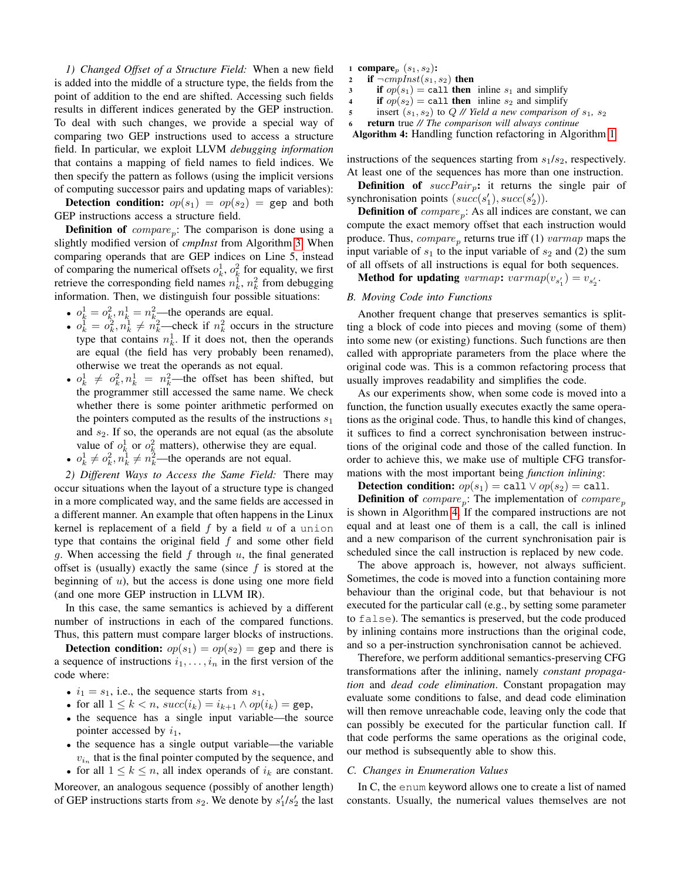*1) Changed Offset of a Structure Field:* When a new field is added into the middle of a structure type, the fields from the point of addition to the end are shifted. Accessing such fields results in different indices generated by the GEP instruction. To deal with such changes, we provide a special way of comparing two GEP instructions used to access a structure field. In particular, we exploit LLVM *debugging information* that contains a mapping of field names to field indices. We then specify the pattern as follows (using the implicit versions of computing successor pairs and updating maps of variables):

**Detection condition:**  $op(s_1) = op(s_2) = \text{gep}$  and both GEP instructions access a structure field.

**Definition of**  $compare_p$ : The comparison is done using a slightly modified version of *cmpInst* from Algorithm [3.](#page-4-0) When comparing operands that are GEP indices on Line 5, instead of comparing the numerical offsets  $o_k^1$ ,  $o_k^2$  for equality, we first retrieve the corresponding field names  $n_k^1$ ,  $n_k^2$  from debugging information. Then, we distinguish four possible situations:

- $o_k^1 = o_k^2$ ,  $n_k^1 = n_k^2$ —the operands are equal.
- $o_k^1 = o_k^2, n_k^1 \neq n_k^2$ —check if  $n_k^2$  occurs in the structure type that contains  $n_k^1$ . If it does not, then the operands are equal (the field has very probably been renamed), otherwise we treat the operands as not equal.
- $o_k^1 \neq o_k^2, n_k^1 = n_k^2$ —the offset has been shifted, but the programmer still accessed the same name. We check whether there is some pointer arithmetic performed on the pointers computed as the results of the instructions  $s_1$ and  $s_2$ . If so, the operands are not equal (as the absolute value of  $o_k^1$  or  $o_k^2$  matters), otherwise they are equal.
- $o_k^1 \neq o_k^2, n_k^1 \neq n_k^2$ —the operands are not equal.

*2) Different Ways to Access the Same Field:* There may occur situations when the layout of a structure type is changed in a more complicated way, and the same fields are accessed in a different manner. An example that often happens in the Linux kernel is replacement of a field  $f$  by a field  $u$  of a union type that contains the original field  $f$  and some other field g. When accessing the field  $f$  through  $u$ , the final generated offset is (usually) exactly the same (since  $f$  is stored at the beginning of  $u$ ), but the access is done using one more field (and one more GEP instruction in LLVM IR).

In this case, the same semantics is achieved by a different number of instructions in each of the compared functions. Thus, this pattern must compare larger blocks of instructions.

**Detection condition:**  $op(s_1) = op(s_2) = \text{gep}$  and there is a sequence of instructions  $i_1, \ldots, i_n$  in the first version of the code where:

- $i_1 = s_1$ , i.e., the sequence starts from  $s_1$ ,
- for all  $1 \leq k < n$ ,  $succ(i_k) = i_{k+1} \wedge op(i_k) =$ gep,
- the sequence has a single input variable—the source pointer accessed by  $i_1$ ,
- the sequence has a single output variable—the variable  $v_{i_n}$  that is the final pointer computed by the sequence, and • for all  $1 \leq k \leq n$ , all index operands of  $i_k$  are constant.

Moreover, an analogous sequence (possibly of another length) of GEP instructions starts from  $s_2$ . We denote by  $s'_1/s'_2$  the last

- 1 compare $_p$   $(s_1, s_2)$ :
- 2 if  $\neg \textit{cmpInst}(s_1, s_2)$  then
- if  $op(s_1) =$  call then inline  $s_1$  and simplify
- 4 if  $op(s_2) =$  call then inline  $s_2$  and simplify
- 5 insert  $(s_1, s_2)$  to  $Q$  // *Yield a new comparison of*  $s_1$ ,  $s_2$

<sup>6</sup> return true *// The comparison will always continue*

<span id="page-6-1"></span>Algorithm 4: Handling function refactoring in Algorithm [1](#page-3-0)

instructions of the sequences starting from  $s_1/s_2$ , respectively. At least one of the sequences has more than one instruction.

**Definition of**  $succPair_p$ : it returns the single pair of synchronisation points  $(succ(s'_1), succ(s'_2)).$ 

**Definition of**  $compare_p$ : As all indices are constant, we can compute the exact memory offset that each instruction would produce. Thus,  $compare_p$  returns true iff (1)  $varmap$  maps the input variable of  $s_1$  to the input variable of  $s_2$  and (2) the sum of all offsets of all instructions is equal for both sequences.

**Method for updating** varmap:  $varmap(v_{s'_1}) = v_{s'_2}$ .

#### <span id="page-6-0"></span>*B. Moving Code into Functions*

Another frequent change that preserves semantics is splitting a block of code into pieces and moving (some of them) into some new (or existing) functions. Such functions are then called with appropriate parameters from the place where the original code was. This is a common refactoring process that usually improves readability and simplifies the code.

As our experiments show, when some code is moved into a function, the function usually executes exactly the same operations as the original code. Thus, to handle this kind of changes, it suffices to find a correct synchronisation between instructions of the original code and those of the called function. In order to achieve this, we make use of multiple CFG transformations with the most important being *function inlining*:

**Detection condition:**  $op(s_1) = \text{call} \vee op(s_2) = \text{call}.$ 

**Definition of**  $compare_p$ : The implementation of  $compare_p$ is shown in Algorithm [4.](#page-6-1) If the compared instructions are not equal and at least one of them is a call, the call is inlined and a new comparison of the current synchronisation pair is scheduled since the call instruction is replaced by new code.

The above approach is, however, not always sufficient. Sometimes, the code is moved into a function containing more behaviour than the original code, but that behaviour is not executed for the particular call (e.g., by setting some parameter to false). The semantics is preserved, but the code produced by inlining contains more instructions than the original code, and so a per-instruction synchronisation cannot be achieved.

Therefore, we perform additional semantics-preserving CFG transformations after the inlining, namely *constant propagation* and *dead code elimination*. Constant propagation may evaluate some conditions to false, and dead code elimination will then remove unreachable code, leaving only the code that can possibly be executed for the particular function call. If that code performs the same operations as the original code, our method is subsequently able to show this.

#### *C. Changes in Enumeration Values*

In C, the enum keyword allows one to create a list of named constants. Usually, the numerical values themselves are not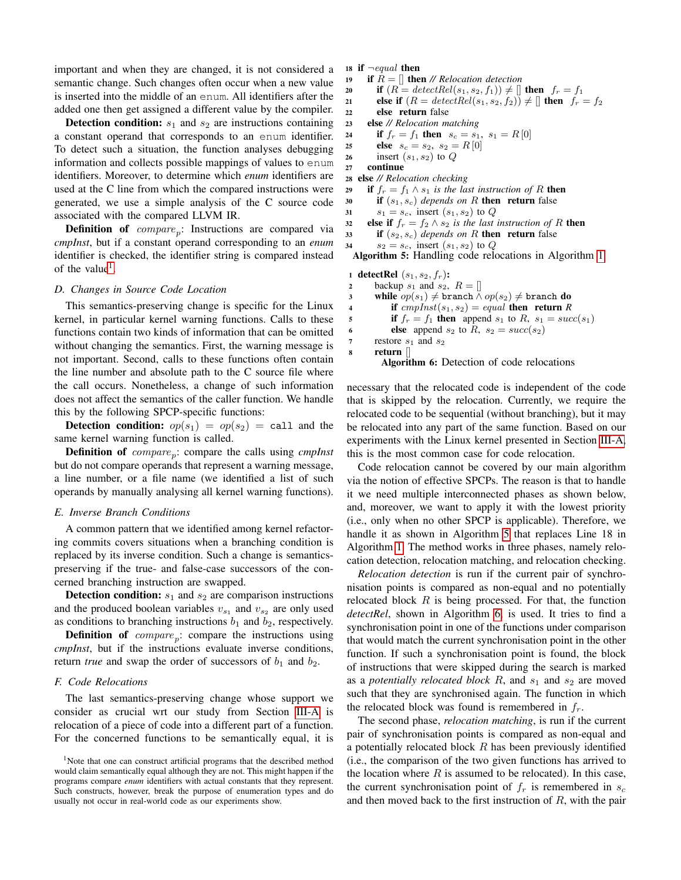important and when they are changed, it is not considered a semantic change. Such changes often occur when a new value is inserted into the middle of an enum. All identifiers after the added one then get assigned a different value by the compiler.

**Detection condition:**  $s_1$  and  $s_2$  are instructions containing a constant operand that corresponds to an enum identifier. To detect such a situation, the function analyses debugging information and collects possible mappings of values to enum identifiers. Moreover, to determine which *enum* identifiers are used at the C line from which the compared instructions were generated, we use a simple analysis of the C source code associated with the compared LLVM IR.

**Definition of**  $compare_p$ : Instructions are compared via *cmpInst*, but if a constant operand corresponding to an *enum* identifier is checked, the identifier string is compared instead of the value<sup>[1](#page-7-0)</sup>.

#### *D. Changes in Source Code Location*

This semantics-preserving change is specific for the Linux kernel, in particular kernel warning functions. Calls to these functions contain two kinds of information that can be omitted without changing the semantics. First, the warning message is not important. Second, calls to these functions often contain the line number and absolute path to the C source file where the call occurs. Nonetheless, a change of such information does not affect the semantics of the caller function. We handle this by the following SPCP-specific functions:

**Detection condition:**  $op(s_1) = op(s_2) =$  call and the same kernel warning function is called.

**Definition of** *compare*<sub>p</sub>: compare the calls using *cmpInst* but do not compare operands that represent a warning message, a line number, or a file name (we identified a list of such operands by manually analysing all kernel warning functions).

#### *E. Inverse Branch Conditions*

A common pattern that we identified among kernel refactoring commits covers situations when a branching condition is replaced by its inverse condition. Such a change is semanticspreserving if the true- and false-case successors of the concerned branching instruction are swapped.

**Detection condition:**  $s_1$  and  $s_2$  are comparison instructions and the produced boolean variables  $v_{s_1}$  and  $v_{s_2}$  are only used as conditions to branching instructions  $b_1$  and  $b_2$ , respectively.

**Definition of**  $compare_p$ : compare the instructions using *cmpInst*, but if the instructions evaluate inverse conditions, return *true* and swap the order of successors of  $b_1$  and  $b_2$ .

#### *F. Code Relocations*

The last semantics-preserving change whose support we consider as crucial wrt our study from Section [III-A](#page-4-1) is relocation of a piece of code into a different part of a function. For the concerned functions to be semantically equal, it is

```
18 if \neg equal then
```
19 if  $R = \parallel$  then // *Relocation detection* 

```
20 if (R = detectRel(s_1, s_2, f_1)) \neq [] then f_r = f_1
```
21 else if  $(R = detectRel(s_1, s_2, f_2)) \neq []$  then  $f_r = f_2$ <br>22 else return false

```
else return false
```

```
23 else // Relocation matching
```

```
24 if f_r = f_1 then s_c = s_1, s_1 = R[0]
```

```
25 else s_c = s_2, s_2 = R[0]
```

```
26 insert (s_1, s_2) to Q
```

```
27 continue
```

```
28 else // Relocation checking
```

```
29 if f_r = f_1 \wedge s_1 is the last instruction of R then
```
- 30 if  $(s_1, s_c)$  *depends on* R then return false
- 31  $s_1 = s_c$ , insert  $(s_1, s_2)$  to Q

```
32 else if f_r = f_2 \wedge s_2 is the last instruction of R then
```

```
\mathbf{33} if (s_2, s_c) depends on R then return false
```

```
34 s_2 = s_c, insert (s_1, s_2) to Q
```
<span id="page-7-1"></span>Algorithm 5: Handling code relocations in Algorithm [1](#page-3-0)

```
1 detectRel (s_1, s_2, f_r):
```

```
2 backup s_1 and s_2, R = \parallel3 while op(s_1) \neq branch \wedge op(s_2) \neq branch do
4 if cmpInst(s_1, s_2) = equal then return R
5 if f_r = f_1 then append s_1 to R, s_1 = succ(s_1)6 else append s_2 to R, s_2 = succ(s_2)\tau restore s_1 and s_28 return []
```
<span id="page-7-2"></span>Algorithm 6: Detection of code relocations

necessary that the relocated code is independent of the code that is skipped by the relocation. Currently, we require the relocated code to be sequential (without branching), but it may be relocated into any part of the same function. Based on our experiments with the Linux kernel presented in Section [III-A,](#page-4-1) this is the most common case for code relocation.

Code relocation cannot be covered by our main algorithm via the notion of effective SPCPs. The reason is that to handle it we need multiple interconnected phases as shown below, and, moreover, we want to apply it with the lowest priority (i.e., only when no other SPCP is applicable). Therefore, we handle it as shown in Algorithm [5](#page-7-1) that replaces Line 18 in Algorithm [1.](#page-3-0) The method works in three phases, namely relocation detection, relocation matching, and relocation checking.

*Relocation detection* is run if the current pair of synchronisation points is compared as non-equal and no potentially relocated block  $R$  is being processed. For that, the function *detectRel*, shown in Algorithm [6,](#page-7-2) is used. It tries to find a synchronisation point in one of the functions under comparison that would match the current synchronisation point in the other function. If such a synchronisation point is found, the block of instructions that were skipped during the search is marked as a *potentially relocated block*  $R$ , and  $s_1$  and  $s_2$  are moved such that they are synchronised again. The function in which the relocated block was found is remembered in  $f_r$ .

The second phase, *relocation matching*, is run if the current pair of synchronisation points is compared as non-equal and a potentially relocated block  $R$  has been previously identified (i.e., the comparison of the two given functions has arrived to the location where  $R$  is assumed to be relocated). In this case, the current synchronisation point of  $f_r$  is remembered in  $s_c$ and then moved back to the first instruction of  $R$ , with the pair

<span id="page-7-0"></span><sup>&</sup>lt;sup>1</sup>Note that one can construct artificial programs that the described method would claim semantically equal although they are not. This might happen if the programs compare *enum* identifiers with actual constants that they represent. Such constructs, however, break the purpose of enumeration types and do usually not occur in real-world code as our experiments show.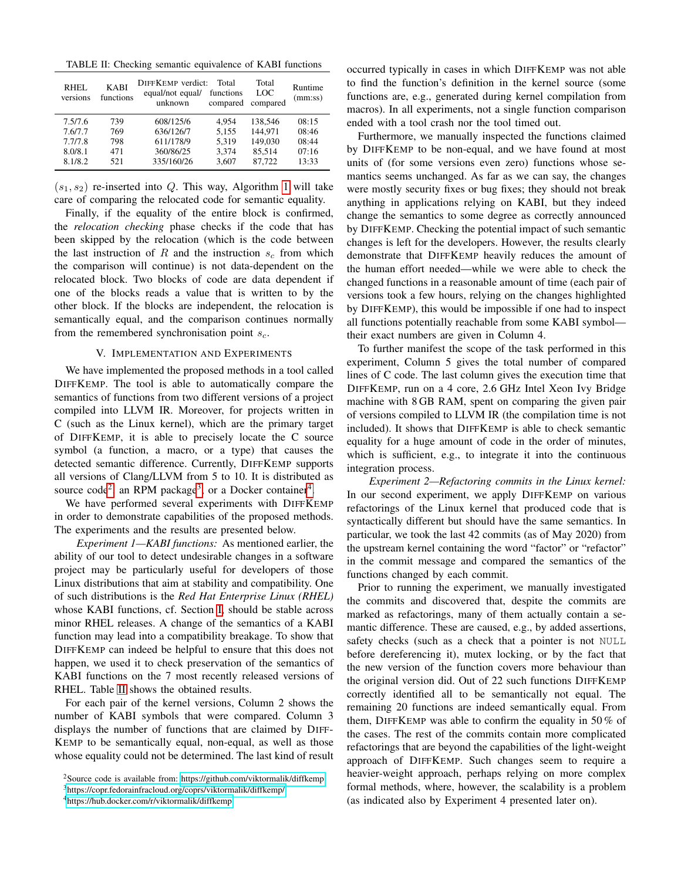<span id="page-8-4"></span>TABLE II: Checking semantic equivalence of KABI functions

| RHEL<br>versions | <b>KABI</b><br>functions | DIFFKEMP verdict:<br>equal/not equal/<br>unknown | Total<br>functions<br>compared | Total<br><b>LOC</b><br>compared | Runtime<br>(mm:ss) |
|------------------|--------------------------|--------------------------------------------------|--------------------------------|---------------------------------|--------------------|
| 7.5/7.6          | 739                      | 608/125/6                                        | 4.954                          | 138,546                         | 08:15              |
| 7.6/7.7          | 769                      | 636/126/7                                        | 5.155                          | 144.971                         | 08:46              |
| 7.7/7.8          | 798                      | 611/178/9                                        | 5.319                          | 149,030                         | 08:44              |
| 8.0/8.1          | 471                      | 360/86/25                                        | 3.374                          | 85.514                          | 07:16              |
| 8.1/8.2          | 521                      | 335/160/26                                       | 3,607                          | 87,722                          | 13:33              |

 $(s_1, s_2)$  re-inserted into Q. This way, Algorithm [1](#page-3-0) will take care of comparing the relocated code for semantic equality.

Finally, if the equality of the entire block is confirmed, the *relocation checking* phase checks if the code that has been skipped by the relocation (which is the code between the last instruction of R and the instruction  $s_c$  from which the comparison will continue) is not data-dependent on the relocated block. Two blocks of code are data dependent if one of the blocks reads a value that is written to by the other block. If the blocks are independent, the relocation is semantically equal, and the comparison continues normally from the remembered synchronisation point  $s_c$ .

#### V. IMPLEMENTATION AND EXPERIMENTS

<span id="page-8-0"></span>We have implemented the proposed methods in a tool called DIFFKEMP. The tool is able to automatically compare the semantics of functions from two different versions of a project compiled into LLVM IR. Moreover, for projects written in C (such as the Linux kernel), which are the primary target of DIFFKEMP, it is able to precisely locate the C source symbol (a function, a macro, or a type) that causes the detected semantic difference. Currently, DIFFKEMP supports all versions of Clang/LLVM from 5 to 10. It is distributed as source code<sup>[2](#page-8-1)</sup>, an RPM package<sup>[3](#page-8-2)</sup>, or a Docker container<sup>[4](#page-8-3)</sup>.

We have performed several experiments with DIFFKEMP in order to demonstrate capabilities of the proposed methods. The experiments and the results are presented below.

*Experiment 1—KABI functions:* As mentioned earlier, the ability of our tool to detect undesirable changes in a software project may be particularly useful for developers of those Linux distributions that aim at stability and compatibility. One of such distributions is the *Red Hat Enterprise Linux (RHEL)* whose KABI functions, cf. Section [I,](#page-0-0) should be stable across minor RHEL releases. A change of the semantics of a KABI function may lead into a compatibility breakage. To show that DIFFKEMP can indeed be helpful to ensure that this does not happen, we used it to check preservation of the semantics of KABI functions on the 7 most recently released versions of RHEL. Table [II](#page-8-4) shows the obtained results.

For each pair of the kernel versions, Column 2 shows the number of KABI symbols that were compared. Column 3 displays the number of functions that are claimed by DIFF-KEMP to be semantically equal, non-equal, as well as those whose equality could not be determined. The last kind of result

occurred typically in cases in which DIFFKEMP was not able to find the function's definition in the kernel source (some functions are, e.g., generated during kernel compilation from macros). In all experiments, not a single function comparison ended with a tool crash nor the tool timed out.

Furthermore, we manually inspected the functions claimed by DIFFKEMP to be non-equal, and we have found at most units of (for some versions even zero) functions whose semantics seems unchanged. As far as we can say, the changes were mostly security fixes or bug fixes; they should not break anything in applications relying on KABI, but they indeed change the semantics to some degree as correctly announced by DIFFKEMP. Checking the potential impact of such semantic changes is left for the developers. However, the results clearly demonstrate that DIFFKEMP heavily reduces the amount of the human effort needed—while we were able to check the changed functions in a reasonable amount of time (each pair of versions took a few hours, relying on the changes highlighted by DIFFKEMP), this would be impossible if one had to inspect all functions potentially reachable from some KABI symbol their exact numbers are given in Column 4.

To further manifest the scope of the task performed in this experiment, Column 5 gives the total number of compared lines of C code. The last column gives the execution time that DIFFKEMP, run on a 4 core, 2.6 GHz Intel Xeon Ivy Bridge machine with 8 GB RAM, spent on comparing the given pair of versions compiled to LLVM IR (the compilation time is not included). It shows that DIFFKEMP is able to check semantic equality for a huge amount of code in the order of minutes, which is sufficient, e.g., to integrate it into the continuous integration process.

*Experiment 2—Refactoring commits in the Linux kernel:* In our second experiment, we apply DIFFKEMP on various refactorings of the Linux kernel that produced code that is syntactically different but should have the same semantics. In particular, we took the last 42 commits (as of May 2020) from the upstream kernel containing the word "factor" or "refactor" in the commit message and compared the semantics of the functions changed by each commit.

Prior to running the experiment, we manually investigated the commits and discovered that, despite the commits are marked as refactorings, many of them actually contain a semantic difference. These are caused, e.g., by added assertions, safety checks (such as a check that a pointer is not NULL before dereferencing it), mutex locking, or by the fact that the new version of the function covers more behaviour than the original version did. Out of 22 such functions DIFFKEMP correctly identified all to be semantically not equal. The remaining 20 functions are indeed semantically equal. From them, DIFFKEMP was able to confirm the equality in 50 % of the cases. The rest of the commits contain more complicated refactorings that are beyond the capabilities of the light-weight approach of DIFFKEMP. Such changes seem to require a heavier-weight approach, perhaps relying on more complex formal methods, where, however, the scalability is a problem (as indicated also by Experiment 4 presented later on).

<span id="page-8-1"></span><sup>&</sup>lt;sup>2</sup>Source code is available from: [https://github.com/viktormalik/diffkemp.](https://github.com/viktormalik/diffkemp)

<span id="page-8-2"></span><sup>3</sup><https://copr.fedorainfracloud.org/coprs/viktormalik/diffkemp/>

<span id="page-8-3"></span><sup>4</sup><https://hub.docker.com/r/viktormalik/diffkemp>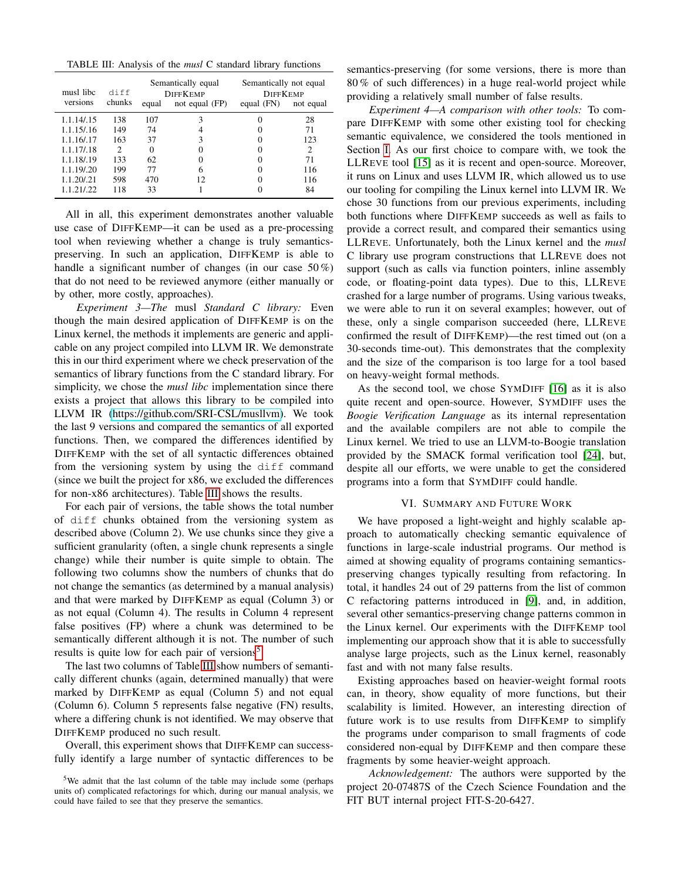<span id="page-9-0"></span>TABLE III: Analysis of the *musl* C standard library functions

| musl libc<br>versions | diff<br>chunks              | Semantically equal<br><b>DIFFKEMP</b><br>not equal (FP)<br>equal |     | Semantically not equal<br><b>DIFFKEMP</b><br>equal $(FN)$ | not equal |
|-----------------------|-----------------------------|------------------------------------------------------------------|-----|-----------------------------------------------------------|-----------|
| 1.1.14/15             | 138                         | 107                                                              | 3   |                                                           | 28        |
| 1.1.15/16             | 149                         | 74                                                               |     |                                                           | 71        |
| 1.1.16/.17            | 163                         | 37                                                               | 3   |                                                           | 123       |
| 1.1.17/.18            | $\mathcal{D}_{\mathcal{L}}$ | 0                                                                |     |                                                           | 2         |
| 1.1.18/.19            | 133                         | 62                                                               |     |                                                           | 71        |
| 1.1.19/.20            | 199                         | 77                                                               | 6   |                                                           | 116       |
| 1.1.20/.21            | 598                         | 470                                                              | 12. |                                                           | 116       |
| 1.1.21/.22            | 118                         | 33                                                               |     |                                                           | 84        |

All in all, this experiment demonstrates another valuable use case of DIFFKEMP—it can be used as a pre-processing tool when reviewing whether a change is truly semanticspreserving. In such an application, DIFFKEMP is able to handle a significant number of changes (in our case 50%) that do not need to be reviewed anymore (either manually or by other, more costly, approaches).

*Experiment 3—The* musl *Standard C library:* Even though the main desired application of DIFFKEMP is on the Linux kernel, the methods it implements are generic and applicable on any project compiled into LLVM IR. We demonstrate this in our third experiment where we check preservation of the semantics of library functions from the C standard library. For simplicity, we chose the *musl libc* implementation since there exists a project that allows this library to be compiled into LLVM IR [\(https://github.com/SRI-CSL/musllvm\)](https://github.com/SRI-CSL/musllvm). We took the last 9 versions and compared the semantics of all exported functions. Then, we compared the differences identified by DIFFKEMP with the set of all syntactic differences obtained from the versioning system by using the diff command (since we built the project for x86, we excluded the differences for non-x86 architectures). Table [III](#page-9-0) shows the results.

For each pair of versions, the table shows the total number of diff chunks obtained from the versioning system as described above (Column 2). We use chunks since they give a sufficient granularity (often, a single chunk represents a single change) while their number is quite simple to obtain. The following two columns show the numbers of chunks that do not change the semantics (as determined by a manual analysis) and that were marked by DIFFKEMP as equal (Column 3) or as not equal (Column 4). The results in Column 4 represent false positives (FP) where a chunk was determined to be semantically different although it is not. The number of such results is quite low for each pair of versions<sup>[5](#page-9-1)</sup>.

The last two columns of Table [III](#page-9-0) show numbers of semantically different chunks (again, determined manually) that were marked by DIFFKEMP as equal (Column 5) and not equal (Column 6). Column 5 represents false negative (FN) results, where a differing chunk is not identified. We may observe that DIFFKEMP produced no such result.

Overall, this experiment shows that DIFFKEMP can successfully identify a large number of syntactic differences to be semantics-preserving (for some versions, there is more than 80 % of such differences) in a huge real-world project while providing a relatively small number of false results.

*Experiment 4—A comparison with other tools:* To compare DIFFKEMP with some other existing tool for checking semantic equivalence, we considered the tools mentioned in Section [I.](#page-0-0) As our first choice to compare with, we took the LLREVE tool [\[15\]](#page-10-7) as it is recent and open-source. Moreover, it runs on Linux and uses LLVM IR, which allowed us to use our tooling for compiling the Linux kernel into LLVM IR. We chose 30 functions from our previous experiments, including both functions where DIFFKEMP succeeds as well as fails to provide a correct result, and compared their semantics using LLREVE. Unfortunately, both the Linux kernel and the *musl* C library use program constructions that LLREVE does not support (such as calls via function pointers, inline assembly code, or floating-point data types). Due to this, LLREVE crashed for a large number of programs. Using various tweaks, we were able to run it on several examples; however, out of these, only a single comparison succeeded (here, LLREVE confirmed the result of DIFFKEMP)—the rest timed out (on a 30-seconds time-out). This demonstrates that the complexity and the size of the comparison is too large for a tool based on heavy-weight formal methods.

As the second tool, we chose SYMDIFF [\[16\]](#page-10-3) as it is also quite recent and open-source. However, SYMDIFF uses the *Boogie Verification Language* as its internal representation and the available compilers are not able to compile the Linux kernel. We tried to use an LLVM-to-Boogie translation provided by the SMACK formal verification tool [\[24\]](#page-10-25), but, despite all our efforts, we were unable to get the considered programs into a form that SYMDIFF could handle.

## VI. SUMMARY AND FUTURE WORK

We have proposed a light-weight and highly scalable approach to automatically checking semantic equivalence of functions in large-scale industrial programs. Our method is aimed at showing equality of programs containing semanticspreserving changes typically resulting from refactoring. In total, it handles 24 out of 29 patterns from the list of common C refactoring patterns introduced in [\[9\]](#page-10-0), and, in addition, several other semantics-preserving change patterns common in the Linux kernel. Our experiments with the DIFFKEMP tool implementing our approach show that it is able to successfully analyse large projects, such as the Linux kernel, reasonably fast and with not many false results.

Existing approaches based on heavier-weight formal roots can, in theory, show equality of more functions, but their scalability is limited. However, an interesting direction of future work is to use results from DIFFKEMP to simplify the programs under comparison to small fragments of code considered non-equal by DIFFKEMP and then compare these fragments by some heavier-weight approach.

*Acknowledgement:* The authors were supported by the project 20-07487S of the Czech Science Foundation and the FIT BUT internal project FIT-S-20-6427.

<span id="page-9-1"></span><sup>&</sup>lt;sup>5</sup>We admit that the last column of the table may include some (perhaps units of) complicated refactorings for which, during our manual analysis, we could have failed to see that they preserve the semantics.